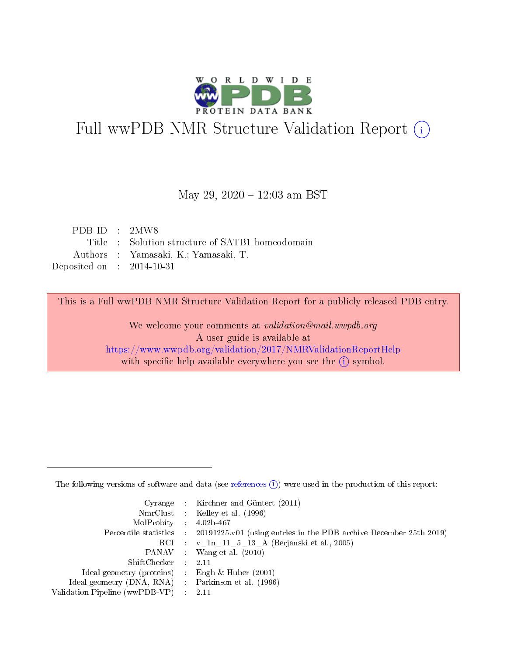

# Full wwPDB NMR Structure Validation Report (i)

# May 29, 2020 - 12:03 am BST

| PDB ID : 2MW8               |                                                 |
|-----------------------------|-------------------------------------------------|
|                             | Title : Solution structure of SATB1 homeodomain |
|                             | Authors : Yamasaki, K.; Yamasaki, T.            |
| Deposited on : $2014-10-31$ |                                                 |

This is a Full wwPDB NMR Structure Validation Report for a publicly released PDB entry.

We welcome your comments at validation@mail.wwpdb.org A user guide is available at <https://www.wwpdb.org/validation/2017/NMRValidationReportHelp> with specific help available everywhere you see the  $(i)$  symbol.

The following versions of software and data (see [references](https://www.wwpdb.org/validation/2017/NMRValidationReportHelp#references)  $(1)$ ) were used in the production of this report:

|                                                     | Cyrange : Kirchner and Güntert $(2011)$                                                    |
|-----------------------------------------------------|--------------------------------------------------------------------------------------------|
|                                                     | NmrClust : Kelley et al. (1996)                                                            |
| MolProbity : 4.02b-467                              |                                                                                            |
|                                                     | Percentile statistics : 20191225.v01 (using entries in the PDB archive December 25th 2019) |
|                                                     | RCI : v 1n 11 5 13 A (Berjanski et al., 2005)                                              |
|                                                     | PANAV : Wang et al. (2010)                                                                 |
| $ShiftChecker$ : 2.11                               |                                                                                            |
| Ideal geometry (proteins) : Engh $\&$ Huber (2001)  |                                                                                            |
| Ideal geometry (DNA, RNA) : Parkinson et al. (1996) |                                                                                            |
| Validation Pipeline (wwPDB-VP) : 2.11               |                                                                                            |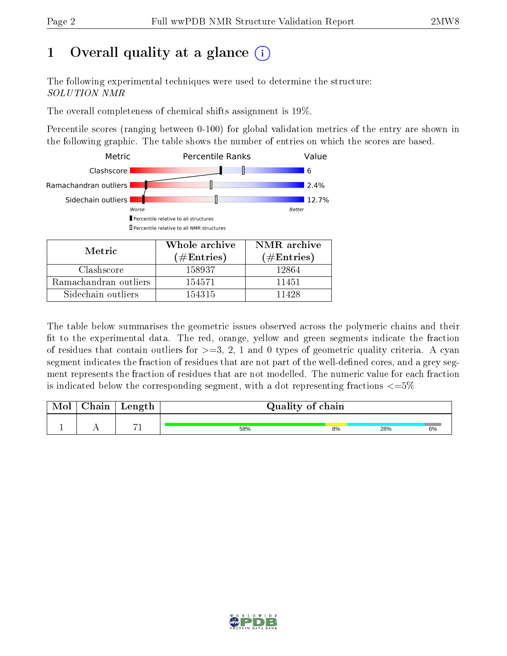# 1 [O](https://www.wwpdb.org/validation/2017/NMRValidationReportHelp#overall_quality)verall quality at a glance  $(i)$

The following experimental techniques were used to determine the structure: SOLUTION NMR

The overall completeness of chemical shifts assignment is 19%.

Percentile scores (ranging between 0-100) for global validation metrics of the entry are shown in the following graphic. The table shows the number of entries on which the scores are based.



| <b>NIETRE</b>         | (# $\rm{Entries}$ ) | $(\#Entries)$ |
|-----------------------|---------------------|---------------|
| Clashscore            | 158937              | 12864         |
| Ramachandran outliers | 154571              | 11451         |
| Sidechain outliers    | 154315              | 11428         |

The table below summarises the geometric issues observed across the polymeric chains and their fit to the experimental data. The red, orange, yellow and green segments indicate the fraction of residues that contain outliers for  $>=3, 2, 1$  and 0 types of geometric quality criteria. A cyan segment indicates the fraction of residues that are not part of the well-defined cores, and a grey segment represents the fraction of residues that are not modelled. The numeric value for each fraction is indicated below the corresponding segment, with a dot representing fractions  $\epsilon = 5\%$ 

| Mol | ${\bf Chain}$ | Length   |     | Quality of chain |     |    |  |
|-----|---------------|----------|-----|------------------|-----|----|--|
|     |               | $\sim$ 1 |     |                  |     |    |  |
|     |               |          | 58% | 8%               | 28% | 6% |  |

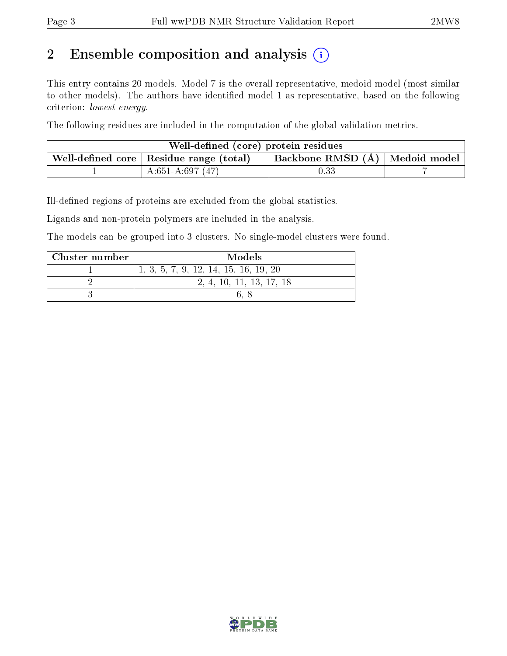# 2 Ensemble composition and analysis  $(i)$

This entry contains 20 models. Model 7 is the overall representative, medoid model (most similar to other models). The authors have identified model 1 as representative, based on the following criterion: lowest energy.

The following residues are included in the computation of the global validation metrics.

| Well-defined (core) protein residues                    |                                    |      |  |  |  |
|---------------------------------------------------------|------------------------------------|------|--|--|--|
| . Well-defined core $\mid$ Residue range (total) $\mid$ | Backbone RMSD $(A)$   Medoid model |      |  |  |  |
|                                                         | $A:651-A:697(47)$                  | 0.33 |  |  |  |

Ill-defined regions of proteins are excluded from the global statistics.

Ligands and non-protein polymers are included in the analysis.

The models can be grouped into 3 clusters. No single-model clusters were found.

| Cluster number | Models                                |
|----------------|---------------------------------------|
|                | 1, 3, 5, 7, 9, 12, 14, 15, 16, 19, 20 |
|                | 2, 4, 10, 11, 13, 17, 18              |
|                |                                       |

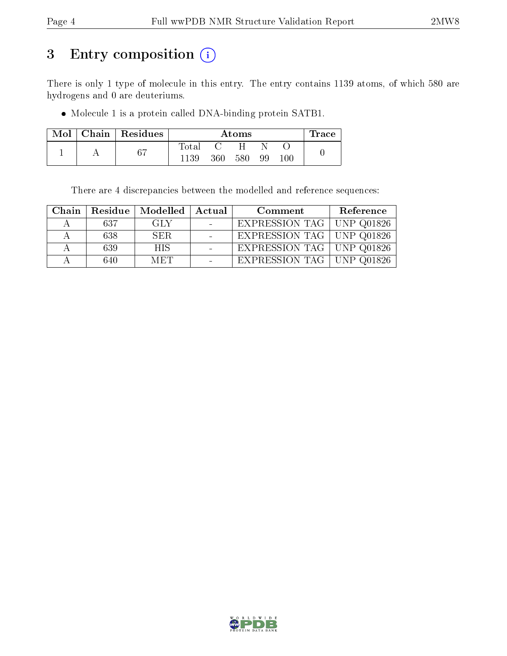# 3 Entry composition (i)

There is only 1 type of molecule in this entry. The entry contains 1139 atoms, of which 580 are hydrogens and 0 are deuteriums.

Molecule 1 is a protein called DNA-binding protein SATB1.

|  | Mol   Chain   Residues |                |     | Atoms |    |     | <b>Trace</b> |
|--|------------------------|----------------|-----|-------|----|-----|--------------|
|  |                        | $_{\rm Total}$ |     |       |    |     |              |
|  | 67                     | 1139           | 360 | 580   | 99 | 100 |              |

There are 4 discrepancies between the modelled and reference sequences:

| Chain |     | Residue   Modelled | Actual | Comment                     | Reference |
|-------|-----|--------------------|--------|-----------------------------|-----------|
|       | 637 | -GLY               |        | EXPRESSION TAG   UNP Q01826 |           |
|       | 638 | SER.               |        | EXPRESSION TAG   UNP Q01826 |           |
|       | 639 | HIS.               |        | EXPRESSION TAG   UNP Q01826 |           |
|       | 640 | MET                |        | EXPRESSION TAG   UNP Q01826 |           |

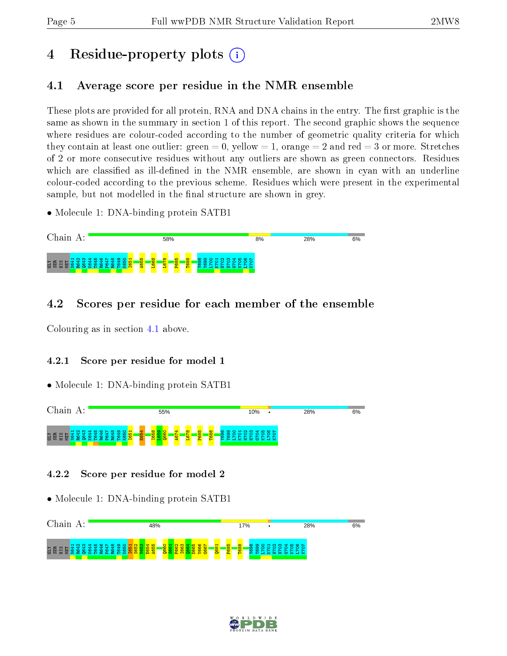# 4 Residue-property plots  $\binom{1}{1}$

# <span id="page-4-0"></span>4.1 Average score per residue in the NMR ensemble

These plots are provided for all protein, RNA and DNA chains in the entry. The first graphic is the same as shown in the summary in section 1 of this report. The second graphic shows the sequence where residues are colour-coded according to the number of geometric quality criteria for which they contain at least one outlier: green  $= 0$ , yellow  $= 1$ , orange  $= 2$  and red  $= 3$  or more. Stretches of 2 or more consecutive residues without any outliers are shown as green connectors. Residues which are classified as ill-defined in the NMR ensemble, are shown in cyan with an underline colour-coded according to the previous scheme. Residues which were present in the experimental sample, but not modelled in the final structure are shown in grey.

• Molecule 1: DNA-binding protein SATB1



# 4.2 Scores per residue for each member of the ensemble

Colouring as in section [4.1](#page-4-0) above.

# 4.2.1 Score per residue for model 1

• Molecule 1: DNA-binding protein SATB1



# 4.2.2 Score per residue for model 2



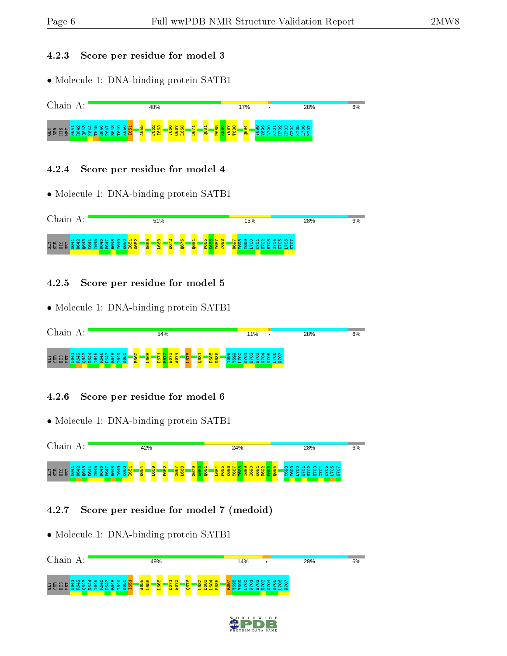#### 4.2.3 Score per residue for model 3

• Molecule 1: DNA-binding protein SATB1



#### 4.2.4 Score per residue for model 4

• Molecule 1: DNA-binding protein SATB1



# 4.2.5 Score per residue for model 5

• Molecule 1: DNA-binding protein SATB1

| $\gamma$ hain.                                                                                                                                | 54%                                                                                                                                        | 11%                                                                                                                                                   | 28% |
|-----------------------------------------------------------------------------------------------------------------------------------------------|--------------------------------------------------------------------------------------------------------------------------------------------|-------------------------------------------------------------------------------------------------------------------------------------------------------|-----|
| Д                                                                                                                                             |                                                                                                                                            | $\bullet$                                                                                                                                             | 6%  |
| $\sim$<br>െറ<br>÷<br>w<br>e.<br><b>SES</b><br>$-$<br>. ett<br>ഹ<br>$\sim$<br>m<br>회불품<br>岳<br>vo.<br><b>OXH</b><br>$\alpha$ $\mapsto$<br>- 53 | $\infty$<br>$\overline{\mathbf{c}}$<br>≂<br>8 <sup>o</sup><br>$\frac{8}{3}$<br>$8^{\circ}$<br>$\overline{ }$<br><b>to</b><br>Pa.<br>-<br>н | $\circ$<br>$N$ $\omega$ $\alpha$ $\mu$<br>ю<br>$\blacksquare$<br>$\circ$<br>മ ത<br>$\infty$<br>$\infty$<br>∘<br>m<br>×<br><b>C5</b><br>×<br>. .<br>×. |     |

# 4.2.6 Score per residue for model 6

• Molecule 1: DNA-binding protein SATB1

| $^\circ$ hain.                                        | 42%                                                                                     | 24%                                                     | 28%                                                                                                                                                    | 6% |
|-------------------------------------------------------|-----------------------------------------------------------------------------------------|---------------------------------------------------------|--------------------------------------------------------------------------------------------------------------------------------------------------------|----|
| <b>GER</b><br>့က<br>ᆔ<br>тm<br>회원<br>軍<br>്<br>ട<br>⊢ | $\sim$<br>$\frac{1}{100}$<br>E65<br>$8 -$<br><b>SS</b><br>- 11<br><b>IQ</b><br>ōД<br>P4 | o<br>$\overline{}$<br>െ<br>œ<br><b>M</b><br>o<br>н<br>× | <b>NMTL00L</b><br>$\infty$<br>$\circ$<br>െ<br>-<br>ക<br>ெ<br>⌒<br>$\circ$<br>$\circ$<br>$\sim$<br>$\sim$<br>$\sim$<br>$\sim$<br>-<br>65<br>×<br>$\sim$ |    |

# 4.2.7 Score per residue for model 7 (medoid)



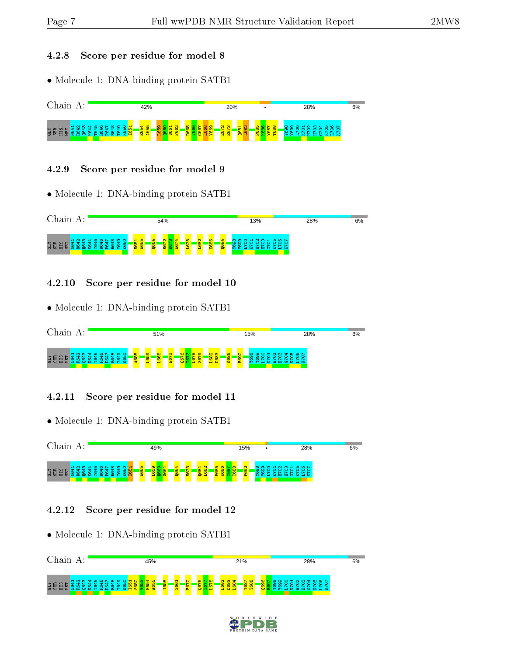#### 4.2.8 Score per residue for model 8

• Molecule 1: DNA-binding protein SATB1



### 4.2.9 Score per residue for model 9

• Molecule 1: DNA-binding protein SATB1



# 4.2.10 Score per residue for model 10

• Molecule 1: DNA-binding protein SATB1

| $\gamma$ hain $\alpha$                                                                                                              | 51%                                                                         |                                                                                                                                              | 15%                                                                                                                       | 28%                                                                                                                    | 6% |
|-------------------------------------------------------------------------------------------------------------------------------------|-----------------------------------------------------------------------------|----------------------------------------------------------------------------------------------------------------------------------------------|---------------------------------------------------------------------------------------------------------------------------|------------------------------------------------------------------------------------------------------------------------|----|
| $\sim$<br>െ<br>$\sim$<br>הו<br>∞<br>≂<br><b>CHI</b><br><b>GEBBBB</b><br>ue Hi<br>ഥ<br>÷<br>ᆊ<br>. HI<br>÷<br><b>OXH</b><br>œ<br>-52 | m<br>668<br>S.<br><b>O</b><br><b>A65</b><br><b>品</b><br><b>io</b><br>œ<br>− | <b>CO</b><br>G<br><b>CO</b><br>$\infty$ $\infty$<br>$\mathbf{\alpha}$<br>$8^{\circ}$<br>$\frac{8}{3}$<br>8 <sup>o</sup><br>Ā<br>⊵<br>းက<br>⊣ | $\mathbf{\alpha}$<br>$\mathbf{H}$<br><b>NM</b><br>$\omega$ $\omega$ $\Omega$<br><b>S</b><br>$\circ$<br>∍<br>'N<br>m<br>b. | $\begin{array}{c} 4 & 0 & 0 \\ 0 & 0 & 0 \end{array}$<br>$\sim$<br>$\circ$<br>⌒<br>$\circ$<br>- 52<br>$\sim$ $-$<br>65 |    |

# 4.2.11 Score per residue for model 11

• Molecule 1: DNA-binding protein SATB1



# 4.2.12 Score per residue for model 12



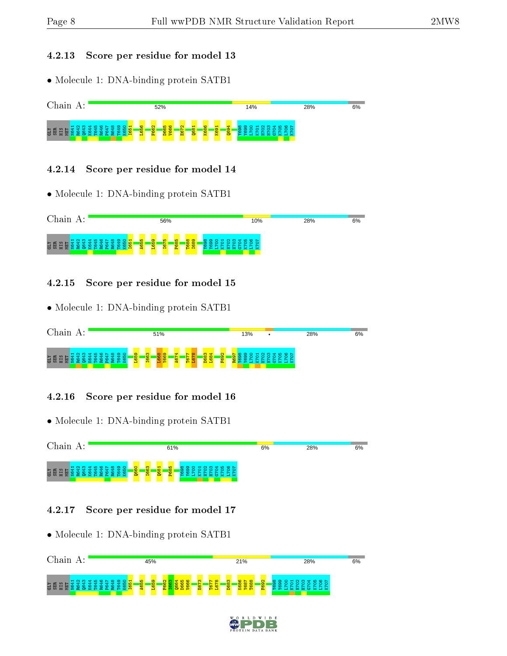#### 4.2.13 Score per residue for model 13

• Molecule 1: DNA-binding protein SATB1

| Chain<br>л.<br>Α.                             | 52%                                                                                                                                                                                                 | 14%                                                                                                        | 28%                       | 6% |
|-----------------------------------------------|-----------------------------------------------------------------------------------------------------------------------------------------------------------------------------------------------------|------------------------------------------------------------------------------------------------------------|---------------------------|----|
| <b>CLY</b><br>E<br>旵<br>$\tilde{\phantom{a}}$ | 8 <sup>o</sup><br>$\mathbf{\alpha}$<br>$\mathbf{\Omega}$<br>$\circ$<br><b>SC</b><br><b>K686</b><br>−<br>$\infty$<br>$\circ$<br>$\circ$<br>$\sim$<br><b>SO</b><br>န္တ<br>G<br>œ<br>ៜ<br>Ē.<br>医<br>н | ₩<br>ഥ<br>∘<br>ന<br>'N<br>œ<br>െ<br>⊣<br>$\blacksquare$<br><b>QSO</b><br>ு<br>∊<br><b>S</b><br>ဖ<br>æ<br>н | $\circ$ $\sim$<br>$\circ$ |    |

# 4.2.14 Score per residue for model 14

• Molecule 1: DNA-binding protein SATB1



# 4.2.15 Score per residue for model 15

• Molecule 1: DNA-binding protein SATB1

| $^\sim$ hain                                                                                                                                                   | 51%                                                                                |                                                                                | 13%                                                                                       | 28%       | 6% |
|----------------------------------------------------------------------------------------------------------------------------------------------------------------|------------------------------------------------------------------------------------|--------------------------------------------------------------------------------|-------------------------------------------------------------------------------------------|-----------|----|
| ₩<br>m.<br>$\infty$<br>െറ<br>ഥ<br>m<br>$-$<br><u>ិ</u> មិដី មិ<br>ᆊ<br>- 11<br>ᆊ<br>ıΩ.<br>ਾਵਾਂ<br>ᆊ<br>-<br>m<br>12 a 1<br>œ<br>۰α۰<br>. .<br>ട്<br>⊢<br>- 52 | <sub>co</sub><br>ை<br><b>165</b><br><b>166</b><br>88<br>œ<br>∍<br><b>The State</b> | $\mathbf{\alpha}$<br>ᢦ<br>8 <sup>o</sup><br>ு<br>$\frac{8}{2}$<br>¢<br>ш<br>ь. | <b>COOCHNMTLOON</b><br>. .<br>$\circ$<br>⌒<br>$\circ$<br>$\circ$<br>o<br>っ<br>m<br>œ<br>m | ິ<br>- 52 |    |

# 4.2.16 Score per residue for model 16

• Molecule 1: DNA-binding protein SATB1



# 4.2.17 Score per residue for model 17



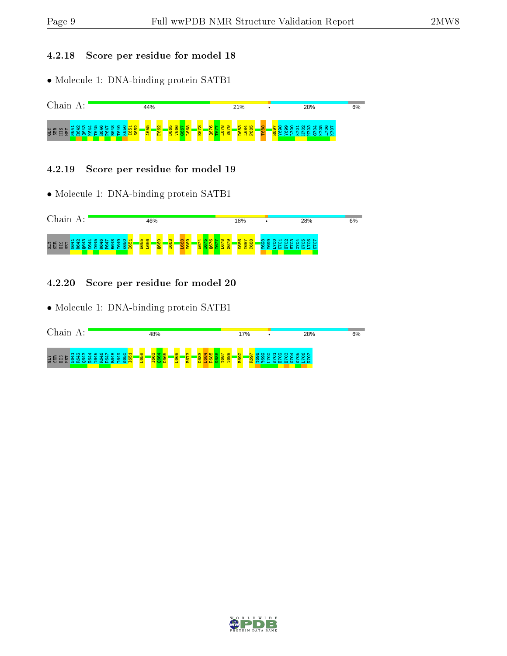### 4.2.18 Score per residue for model 18

• Molecule 1: DNA-binding protein SATB1



#### 4.2.19 Score per residue for model 19

• Molecule 1: DNA-binding protein SATB1



### 4.2.20 Score per residue for model 20



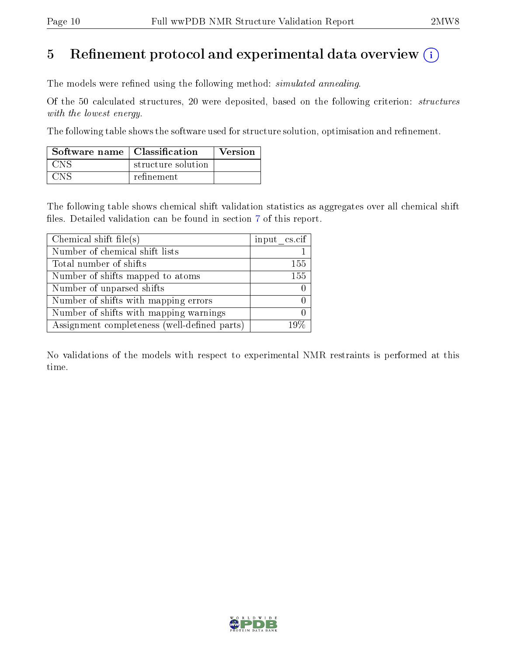# 5 Refinement protocol and experimental data overview  $\binom{1}{k}$

The models were refined using the following method: *simulated annealing*.

Of the 50 calculated structures, 20 were deposited, based on the following criterion: structures with the lowest energy.

The following table shows the software used for structure solution, optimisation and refinement.

| Software name   Classification |                    | <b>Version</b> |
|--------------------------------|--------------------|----------------|
| CNS .                          | structure solution |                |
| <b>CNS</b>                     | refinement         |                |

The following table shows chemical shift validation statistics as aggregates over all chemical shift files. Detailed validation can be found in section [7](#page-14-0) of this report.

| Chemical shift file(s)                       | input cs.cif |
|----------------------------------------------|--------------|
| Number of chemical shift lists               |              |
| Total number of shifts                       | 155          |
| Number of shifts mapped to atoms             | 155          |
| Number of unparsed shifts                    |              |
| Number of shifts with mapping errors         |              |
| Number of shifts with mapping warnings       |              |
| Assignment completeness (well-defined parts) | $10\%$       |

No validations of the models with respect to experimental NMR restraints is performed at this time.

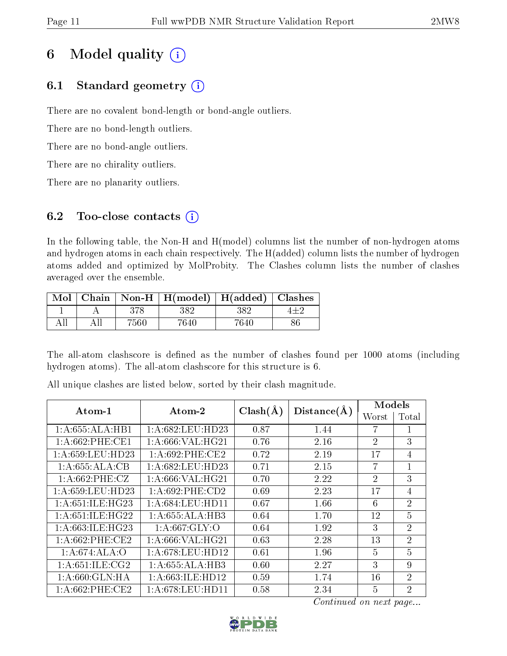# 6 Model quality  $(i)$

# 6.1 Standard geometry  $(i)$

There are no covalent bond-length or bond-angle outliers.

There are no bond-length outliers.

There are no bond-angle outliers.

There are no chirality outliers.

There are no planarity outliers.

# 6.2 Too-close contacts  $(i)$

In the following table, the Non-H and H(model) columns list the number of non-hydrogen atoms and hydrogen atoms in each chain respectively. The H(added) column lists the number of hydrogen atoms added and optimized by MolProbity. The Clashes column lists the number of clashes averaged over the ensemble.

| Mol |      | Chain   Non-H   H(model)   H(added)   Clashes |      |  |
|-----|------|-----------------------------------------------|------|--|
|     |      | 382                                           | 382  |  |
|     | 7560 | 7640                                          | 7640 |  |

The all-atom clashscore is defined as the number of clashes found per 1000 atoms (including hydrogen atoms). The all-atom clashscore for this structure is 6.

| Atom-1              | Atom-2              |              | Distance(A) | Models         |                |
|---------------------|---------------------|--------------|-------------|----------------|----------------|
|                     |                     | $Clash(\AA)$ |             | Worst          | Total          |
| 1:A:655:ALA:HB1     | 1: A:682:LEU:HD23   | 0.87         | 1.44        | 7              |                |
| $1: A:662:$ PHE:CE1 | 1: A:666: VAL:HG21  | 0.76         | 2.16        | $\overline{2}$ | 3              |
| 1: A:659:LEU:HD23   | 1: A:692:PHE:CE2    | 0.72         | 2.19        | 17             | 4              |
| 1:A:655:ALA:CB      | 1: A:682:LEU:HD23   | 0.71         | 2.15        | 7              | $\mathbf{1}$   |
| 1: A:662:PHE:CZ     | 1:A:666:VAL:HG21    | 0.70         | 2.22        | $\overline{2}$ | 3              |
| 1: A:659:LEU:HD23   | $1: A:692:$ PHE:CD2 | 0.69         | 2.23        | 17             | 4              |
| 1: A:651: ILE: HG23 | 1: A:684:LEU:HD11   | 0.67         | 1.66        | 6              | $\overline{2}$ |
| 1:A:651:ILE:HG22    | 1:A:655:ALA:HB3     | 0.64         | 1.70        | 12             | $\overline{5}$ |
| 1: A:663: ILE: HG23 | 1: A:667: GLY:O     | 0.64         | 1.92        | 3              | $\overline{2}$ |
| 1: A:662:PHE:CE2    | 1: A:666: VAL:HG21  | 0.63         | 2.28        | 13             | $\overline{2}$ |
| 1:A:674:ALA:O       | 1: A:678:LEU:HD12   | 0.61         | 1.96        | 5              | $\overline{5}$ |
| 1: A:651: ILE: CG2  | 1:A:655:ALA:HB3     | 0.60         | 2.27        | 3              | 9              |
| 1: A:660: GLN: HA   | 1: A:663: ILE: HD12 | 0.59         | 1.74        | 16             | $\overline{2}$ |
| 1: A:662:PHE:CE2    | 1: A:678:LEU:HD11   | 0.58         | 2.34        | 5              | $\overline{2}$ |

All unique clashes are listed below, sorted by their clash magnitude.

Continued on next page...

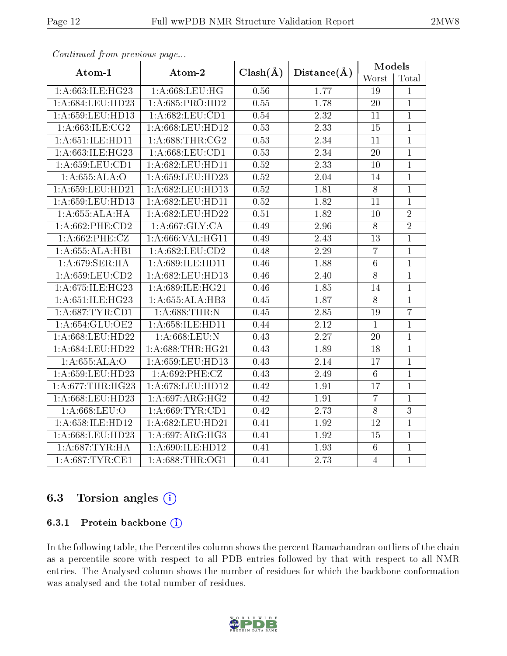| connunctu from providuo pago |                     |                   |                   | Models          |                |
|------------------------------|---------------------|-------------------|-------------------|-----------------|----------------|
| Atom-1                       | Atom-2              | $Clash(\AA)$      | Distance( $\AA$ ) | Worst           | Total          |
| 1:A:663:ILE:HG23             | 1: A:668:LEU:HG     | 0.56              | 1.77              | 19              | $\mathbf 1$    |
| 1:A:684:LEU:HD23             | 1: A:685: PRO:HD2   | 0.55              | 1.78              | $\overline{20}$ | $\mathbf{1}$   |
| 1:A:659:LEU:HD13             | 1: A:682:LEU:CD1    | 0.54              | 2.32              | 11              | $\mathbf{1}$   |
| 1: A:663: ILE: CG2           | 1:A:668:LEU:HD12    | 0.53              | 2.33              | 15              | $\mathbf{1}$   |
| 1:A:651:ILE:HD11             | 1: A:688:THR:CG2    | 0.53              | 2.34              | 11              | $\mathbf{1}$   |
| 1: A:663: ILE: HG23          | 1: A:668:LEU:CD1    | 0.53              | $\overline{2.34}$ | 20              | $\mathbf{1}$   |
| 1:A:659:LEU:CD1              | 1:A:682:LEU:HD11    | 0.52              | 2.33              | 10              | $\mathbf{1}$   |
| 1:A:655:ALA:O                | 1:A:659:LEU:HD23    | $\overline{0.52}$ | 2.04              | 14              | $\overline{1}$ |
| 1:A:659:LEU:HD21             | 1:A:682:LEU:HD13    | 0.52              | 1.81              | $8\,$           | $\mathbf{1}$   |
| 1: A:659:LEU:HD13            | 1:A:682:LEU:HD11    | 0.52              | 1.82              | 11              | $\mathbf{1}$   |
| 1:A:655:ALA:HA               | 1:A:682:LEU:HD22    | 0.51              | 1.82              | 10              | $\overline{2}$ |
| $1: A:662:$ PHE:CD2          | 1: A:667: GLY: CA   | 0.49              | 2.96              | $8\,$           | $\overline{2}$ |
| 1: A:662:PHE:CZ              | 1:A:666:VAL:HG11    | 0.49              | 2.43              | 13              | $\mathbf{1}$   |
| 1:A:655:ALA:HB1              | 1:A:682:LEU:CD2     | 0.48              | 2.29              | $\overline{7}$  | $\mathbf{1}$   |
| 1:A:679:SER:HA               | 1:A:689:ILE:HD11    | 0.46              | 1.88              | $\sqrt{6}$      | $\mathbf{1}$   |
| 1:A:659:LEU:CD2              | 1:A:682:LEU:HD13    | 0.46              | 2.40              | 8               | $\mathbf{1}$   |
| 1:A:675:ILE:HG23             | 1:A:689:ILE:HG21    | 0.46              | 1.85              | 14              | $\mathbf{1}$   |
| 1:A:651:ILE:HG23             | 1:A:655:ALA:HB3     | 0.45              | 1.87              | 8               | $\mathbf{1}$   |
| 1: A:687:TYR:CD1             | 1:A:688:THR:N       | 0.45              | 2.85              | 19              | $\overline{7}$ |
| 1:A:654:GLU:OE2              | 1:A:658:ILE:HD11    | 0.44              | 2.12              | $\mathbf{1}$    | $\mathbf{1}$   |
| 1: A:668:LEU:HD22            | 1: A:668:LEU:N      | 0.43              | 2.27              | $20\,$          | $\mathbf{1}$   |
| 1:A:684:LEU:HD22             | 1: A:688:THR:HG21   | 0.43              | 1.89              | 18              | $\mathbf{1}$   |
| 1:A:655:ALA:O                | 1:A:659:LEU:HD13    | 0.43              | 2.14              | 17              | $\mathbf{1}$   |
| 1:A:659:LEU:HD23             | 1:A:692:PHE:CZ      | 0.43              | 2.49              | $\,6\,$         | $\mathbf{1}$   |
| 1: A:677:THR:HG23            | 1:A:678:LEU:HD12    | 0.42              | 1.91              | 17              | $\mathbf{1}$   |
| 1: A:668:LEU:HD23            | 1: A:697: ARG: HG2  | 0.42              | 1.91              | $\overline{7}$  | $\mathbf{1}$   |
| 1:A:668:LEU:O                | 1: A:669:TYR:CD1    | 0.42              | 2.73              | $\overline{8}$  | 3              |
| 1:A:658:ILE:HD12             | 1:A:682:LEU:HD21    | 0.41              | 1.92              | 12              | $\mathbf{1}$   |
| 1:A:668:LEU:HD23             | 1: A:697: ARG:HG3   | 0.41              | 1.92              | 15              | $\mathbf{1}$   |
| 1: A:687:TYR:HA              | 1: A:690: ILE: HD12 | 0.41              | 1.93              | $6\phantom{.}6$ | $\mathbf 1$    |
| 1: A:687:TYR:CE1             | 1: A:688:THR:OG1    | 0.41              | 2.73              | $\overline{4}$  | $\mathbf{1}$   |

Continued from previous page...

# 6.3 Torsion angles (i)

#### 6.3.1 Protein backbone (i)

In the following table, the Percentiles column shows the percent Ramachandran outliers of the chain as a percentile score with respect to all PDB entries followed by that with respect to all NMR entries. The Analysed column shows the number of residues for which the backbone conformation was analysed and the total number of residues.

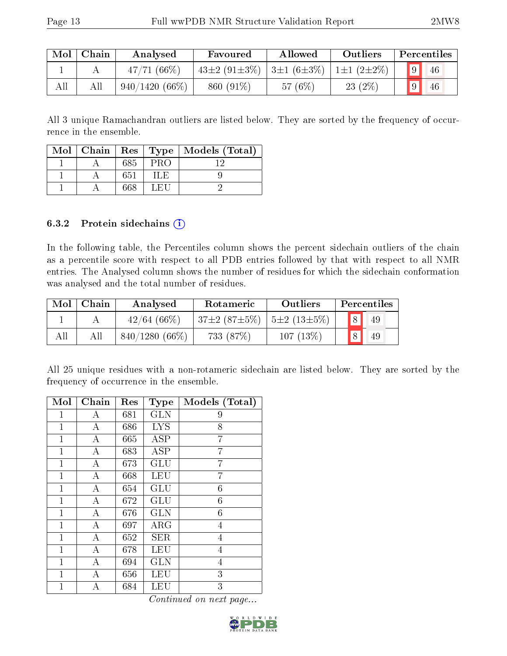| Mol | Chain | Analysed         | Favoured                                         | Allowed    | Outliers         | Percentiles |
|-----|-------|------------------|--------------------------------------------------|------------|------------------|-------------|
|     |       | $47/71(66\%)$    | $43\pm2$ (91 $\pm3\%$ )   3 $\pm1$ (6 $\pm3\%$ ) |            | $1\pm1(2\pm2\%)$ | 46          |
| All |       | $940/1420(66\%)$ | 860 (91\%)                                       | 57 $(6\%)$ | $23(2\%)$        | 9 <br>46    |

All 3 unique Ramachandran outliers are listed below. They are sorted by the frequency of occurrence in the ensemble.

|  |     |            | Mol   Chain   Res   Type   Models (Total) |
|--|-----|------------|-------------------------------------------|
|  | 685 | <b>PRO</b> |                                           |
|  | 651 | ा , निः    |                                           |
|  | 668 | LEU        |                                           |

### 6.3.2 Protein sidechains  $(i)$

In the following table, the Percentiles column shows the percent sidechain outliers of the chain as a percentile score with respect to all PDB entries followed by that with respect to all NMR entries. The Analysed column shows the number of residues for which the sidechain conformation was analysed and the total number of residues.

| Mol | Chain | Analysed         | Rotameric          | Outliers          |   | Percentiles |
|-----|-------|------------------|--------------------|-------------------|---|-------------|
|     |       | 42/64(66%)       | $37\pm2(87\pm5\%)$ | $5\pm2(13\pm5\%)$ | 8 | 49          |
| All |       | $840/1280(66\%)$ | 733 (87\%)         | $107(13\%)$       | 8 | 49          |

All 25 unique residues with a non-rotameric sidechain are listed below. They are sorted by the frequency of occurrence in the ensemble.

| Mol          | Chain            | Res | <b>Type</b> | Models (Total)   |
|--------------|------------------|-----|-------------|------------------|
| 1            | А                | 681 | <b>GLN</b>  | 9                |
| $\mathbf 1$  | A                | 686 | <b>LYS</b>  | 8                |
| $\mathbf{1}$ | А                | 665 | <b>ASP</b>  | 7                |
| 1            | А                | 683 | ASP         | 7                |
| $\mathbf 1$  | A                | 673 | GLU         | 7                |
| $\mathbf{1}$ | А                | 668 | <b>LEU</b>  | 7                |
| 1            | А                | 654 | <b>GLU</b>  | 6                |
| $\mathbf 1$  | $\boldsymbol{A}$ | 672 | GLU         | $\boldsymbol{6}$ |
| $\mathbf{1}$ | А                | 676 | <b>GLN</b>  | $\boldsymbol{6}$ |
| $\mathbf{1}$ | А                | 697 | $\rm{ARG}$  | 4                |
| $\mathbf 1$  | $\bf{A}$         | 652 | <b>SER</b>  | 4                |
| $\mathbf{1}$ | $\boldsymbol{A}$ | 678 | <b>LEU</b>  | $\overline{4}$   |
| 1            | А                | 694 | GLN         | 4                |
| 1            | А                | 656 | LEU         | 3                |
| $\mathbf 1$  | Α                | 684 | LEU         | 3                |

Continued on next page...

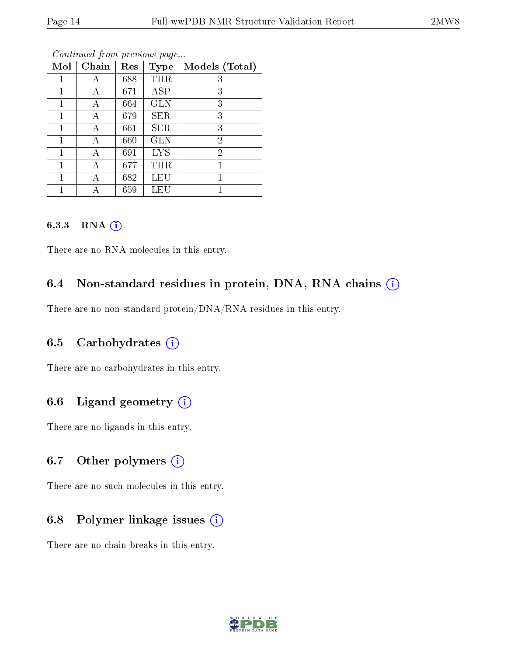| Mol | Chain | Res | <b>Type</b> | Models (Total) |
|-----|-------|-----|-------------|----------------|
|     | А     | 688 | THR         | 3              |
| 1   | А     | 671 | ASP         | 3              |
|     | А     | 664 | <b>GLN</b>  | 3              |
| 1   | А     | 679 | <b>SER</b>  | 3              |
|     | А     | 661 | <b>SER</b>  | 3              |
| 1   | А     | 660 | GLN         | $\overline{2}$ |
| 1   | А     | 691 | <b>LYS</b>  | $\overline{2}$ |
| 1   |       | 677 | THR         | 1              |
| 1   | А     | 682 | LEU         | 1              |
|     |       | 659 | LEU         |                |

Continued from previous page...

#### 6.3.3 RNA [O](https://www.wwpdb.org/validation/2017/NMRValidationReportHelp#rna)i

There are no RNA molecules in this entry.

# 6.4 Non-standard residues in protein, DNA, RNA chains (i)

There are no non-standard protein/DNA/RNA residues in this entry.

# 6.5 Carbohydrates  $(i)$

There are no carbohydrates in this entry.

# 6.6 Ligand geometry  $(i)$

There are no ligands in this entry.

### 6.7 [O](https://www.wwpdb.org/validation/2017/NMRValidationReportHelp#nonstandard_residues_and_ligands)ther polymers  $(i)$

There are no such molecules in this entry.

# 6.8 Polymer linkage issues  $(i)$

There are no chain breaks in this entry.

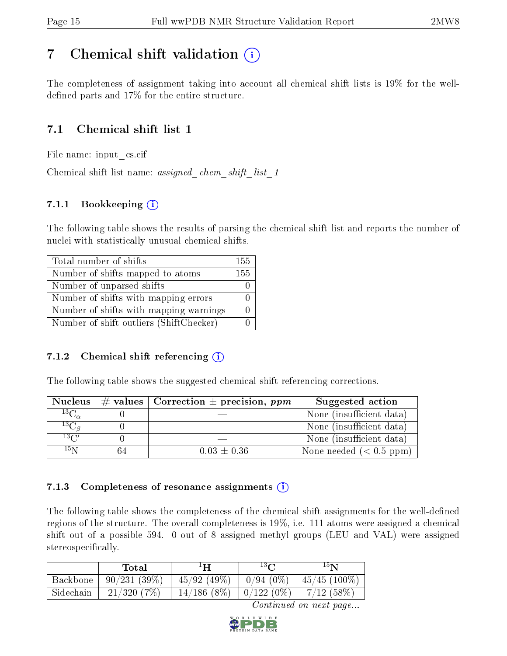# <span id="page-14-0"></span>7 Chemical shift validation  $\left( \begin{array}{c} \overline{1} \end{array} \right)$

The completeness of assignment taking into account all chemical shift lists is 19% for the welldefined parts and  $17\%$  for the entire structure.

# 7.1 Chemical shift list 1

File name: input\_cs.cif

Chemical shift list name: assigned chem shift list 1

# 7.1.1 Bookkeeping (i)

The following table shows the results of parsing the chemical shift list and reports the number of nuclei with statistically unusual chemical shifts.

| Total number of shifts                  | 155 |
|-----------------------------------------|-----|
| Number of shifts mapped to atoms        | 155 |
| Number of unparsed shifts               |     |
| Number of shifts with mapping errors    |     |
| Number of shifts with mapping warnings  |     |
| Number of shift outliers (ShiftChecker) |     |

# 7.1.2 Chemical shift referencing  $(i)$

The following table shows the suggested chemical shift referencing corrections.

| <b>Nucleus</b>                 | $\#$ values   Correction $\pm$ precision, ppm | Suggested action         |
|--------------------------------|-----------------------------------------------|--------------------------|
| $^{13}\overline{\rm C}_\alpha$ |                                               | None (insufficient data) |
| ${}^{13}\mathrm{C}_{\beta}$    |                                               | None (insufficient data) |
| $13\text{C}$                   |                                               | None (insufficient data) |
| $15\,\mathrm{N}$               | $-0.03 \pm 0.36$                              | None needed $(0.5 ppm)$  |

# 7.1.3 Completeness of resonance assignments  $(i)$

The following table shows the completeness of the chemical shift assignments for the well-defined regions of the structure. The overall completeness is 19%, i.e. 111 atoms were assigned a chemical shift out of a possible 594. 0 out of 8 assigned methyl groups (LEU and VAL) were assigned stereospecifically.

|           | Total       | $1\mathbf{H}$ | $^{13}C$              | 15 <sub>N</sub> |
|-----------|-------------|---------------|-----------------------|-----------------|
| Backbone  | 90/231(39%) | 45/92(49%)    | $0/94(0\%$            | $45/45$ (100\%) |
| Sidechain | 21/320(7%)  | 14/186(8%)    | $\frac{10}{122}$ (0%) | $7/12$ (58\%)   |

Continued on next page...